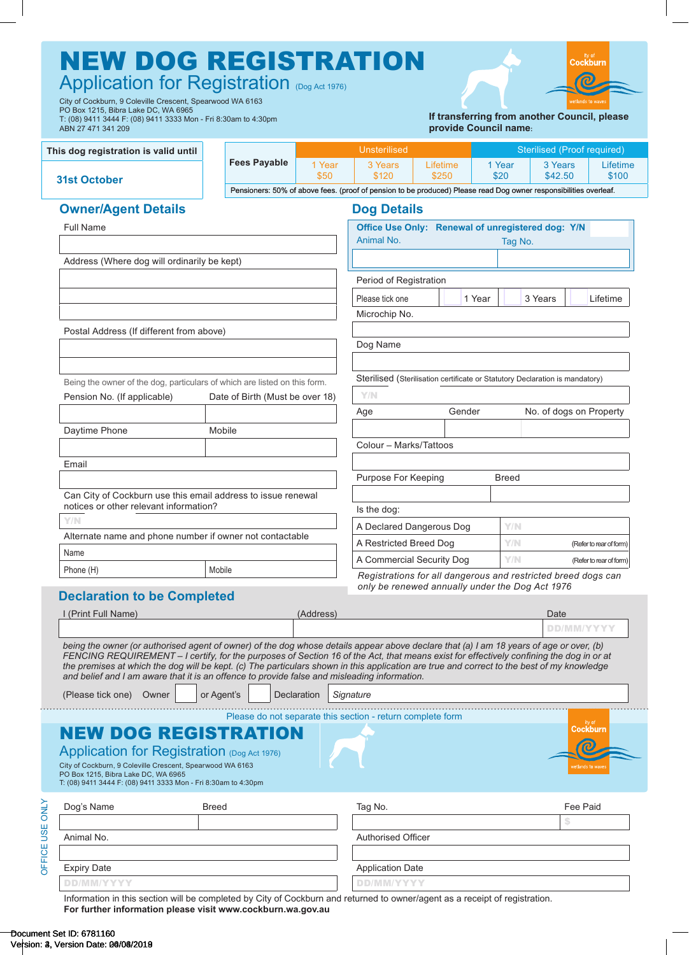| ABN 27 471 341 209                                                                                                                                                                                                                                                                                                                                                                                                                                                                                                               |        |                                 |           |                                                                                                                            |                                                                              | provide Council name: |                                               |            |                         |
|----------------------------------------------------------------------------------------------------------------------------------------------------------------------------------------------------------------------------------------------------------------------------------------------------------------------------------------------------------------------------------------------------------------------------------------------------------------------------------------------------------------------------------|--------|---------------------------------|-----------|----------------------------------------------------------------------------------------------------------------------------|------------------------------------------------------------------------------|-----------------------|-----------------------------------------------|------------|-------------------------|
| This dog registration is valid until                                                                                                                                                                                                                                                                                                                                                                                                                                                                                             |        | <b>Fees Payable</b>             | 1 Year    | <b>Unsterilised</b><br>3 Years                                                                                             | Lifetime                                                                     | 1 Year                | <b>Sterilised (Proof required)</b><br>3 Years |            | Lifetime                |
| <b>31st October</b>                                                                                                                                                                                                                                                                                                                                                                                                                                                                                                              |        |                                 | \$50      | \$120<br>Pensioners: 50% of above fees. (proof of pension to be produced) Please read Dog owner responsibilities overleaf. | \$250                                                                        | \$20                  | \$42.50                                       |            | \$100                   |
| <b>Owner/Agent Details</b>                                                                                                                                                                                                                                                                                                                                                                                                                                                                                                       |        |                                 |           | <b>Dog Details</b>                                                                                                         |                                                                              |                       |                                               |            |                         |
| <b>Full Name</b>                                                                                                                                                                                                                                                                                                                                                                                                                                                                                                                 |        |                                 |           |                                                                                                                            | Office Use Only: Renewal of unregistered dog: Y/N                            |                       |                                               |            |                         |
|                                                                                                                                                                                                                                                                                                                                                                                                                                                                                                                                  |        |                                 |           | Animal No.                                                                                                                 |                                                                              | Tag No.               |                                               |            |                         |
| Address (Where dog will ordinarily be kept)                                                                                                                                                                                                                                                                                                                                                                                                                                                                                      |        |                                 |           |                                                                                                                            |                                                                              |                       |                                               |            |                         |
|                                                                                                                                                                                                                                                                                                                                                                                                                                                                                                                                  |        |                                 |           | Period of Registration                                                                                                     |                                                                              |                       |                                               |            |                         |
|                                                                                                                                                                                                                                                                                                                                                                                                                                                                                                                                  |        |                                 |           | Please tick one                                                                                                            |                                                                              | 1 Year                | 3 Years                                       |            | Lifetime                |
|                                                                                                                                                                                                                                                                                                                                                                                                                                                                                                                                  |        |                                 |           | Microchip No.                                                                                                              |                                                                              |                       |                                               |            |                         |
| Postal Address (If different from above)                                                                                                                                                                                                                                                                                                                                                                                                                                                                                         |        |                                 |           |                                                                                                                            |                                                                              |                       |                                               |            |                         |
|                                                                                                                                                                                                                                                                                                                                                                                                                                                                                                                                  |        |                                 |           | Dog Name                                                                                                                   |                                                                              |                       |                                               |            |                         |
| Being the owner of the dog, particulars of which are listed on this form.<br>Pension No. (If applicable)                                                                                                                                                                                                                                                                                                                                                                                                                         |        | Date of Birth (Must be over 18) |           | Y/N                                                                                                                        | Sterilised (Sterilisation certificate or Statutory Declaration is mandatory) |                       |                                               |            |                         |
| Daytime Phone                                                                                                                                                                                                                                                                                                                                                                                                                                                                                                                    | Mobile |                                 |           | Age<br>Colour - Marks/Tattoos                                                                                              | Gender                                                                       |                       | No. of dogs on Property                       |            |                         |
| Email                                                                                                                                                                                                                                                                                                                                                                                                                                                                                                                            |        |                                 |           |                                                                                                                            |                                                                              |                       |                                               |            |                         |
|                                                                                                                                                                                                                                                                                                                                                                                                                                                                                                                                  |        |                                 |           | Purpose For Keeping                                                                                                        |                                                                              | <b>Breed</b>          |                                               |            |                         |
| Can City of Cockburn use this email address to issue renewal                                                                                                                                                                                                                                                                                                                                                                                                                                                                     |        |                                 |           |                                                                                                                            |                                                                              |                       |                                               |            |                         |
| notices or other relevant information?<br>Y/N                                                                                                                                                                                                                                                                                                                                                                                                                                                                                    |        |                                 |           | Is the dog:                                                                                                                |                                                                              |                       |                                               |            |                         |
| Alternate name and phone number if owner not contactable                                                                                                                                                                                                                                                                                                                                                                                                                                                                         |        |                                 |           |                                                                                                                            | A Declared Dangerous Dog                                                     | Y/N                   |                                               |            |                         |
| Name                                                                                                                                                                                                                                                                                                                                                                                                                                                                                                                             |        |                                 |           | A Restricted Breed Dog                                                                                                     |                                                                              | Y/N                   |                                               |            | (Refer to rear of form) |
| Phone (H)                                                                                                                                                                                                                                                                                                                                                                                                                                                                                                                        | Mobile |                                 |           | A Commercial Security Dog                                                                                                  | Registrations for all dangerous and restricted breed dogs can                | Y/N                   |                                               |            | (Refer to rear of form) |
| <b>Declaration to be Completed</b>                                                                                                                                                                                                                                                                                                                                                                                                                                                                                               |        |                                 |           |                                                                                                                            | only be renewed annually under the Dog Act 1976                              |                       |                                               |            |                         |
| I (Print Full Name)                                                                                                                                                                                                                                                                                                                                                                                                                                                                                                              |        |                                 | (Address) |                                                                                                                            |                                                                              |                       | Date                                          |            |                         |
|                                                                                                                                                                                                                                                                                                                                                                                                                                                                                                                                  |        |                                 |           |                                                                                                                            |                                                                              |                       |                                               | DD/MM/YYYY |                         |
| being the owner (or authorised agent of owner) of the dog whose details appear above declare that (a) I am 18 years of age or over, (b)<br>FENCING REQUIREMENT - I certify, for the purposes of Section 16 of the Act, that means exist for effectively confining the dog in or at<br>the premises at which the dog will be kept. (c) The particulars shown in this application are true and correct to the best of my knowledge<br>and belief and I am aware that it is an offence to provide false and misleading information. |        |                                 |           |                                                                                                                            |                                                                              |                       |                                               |            |                         |

# NEW DOG REGISTRATION Application for Registration (Dog Act 1976)

City of Cockburn, 9 Coleville Crescent, Spearwood WA 6163 PO Box 1215, Bibra Lake DC, WA 6965 T: (08) 9411 3444 F: (08) 9411 3333 Mon - Fri 8:30am to 4:30pm

| <b>ATNO</b> | Dog's Name         | <b>Breed</b> | Tag No.                   | Fee Paid |
|-------------|--------------------|--------------|---------------------------|----------|
|             |                    |              |                           |          |
| USE         | Animal No.         |              | <b>Authorised Officer</b> |          |
| UE          |                    |              |                           |          |
| ш<br>b      | <b>Expiry Date</b> |              | <b>Application Date</b>   |          |
|             | <b>DD/MM/YYYY</b>  |              | DD/MM/YYYY                |          |

Information in this section will be completed by City of Cockburn and returned to owner/agent as a receipt of registration. **For further information please visit [www.cockburn.wa.gov.au](https://www.cockburn.wa.gov.au)**